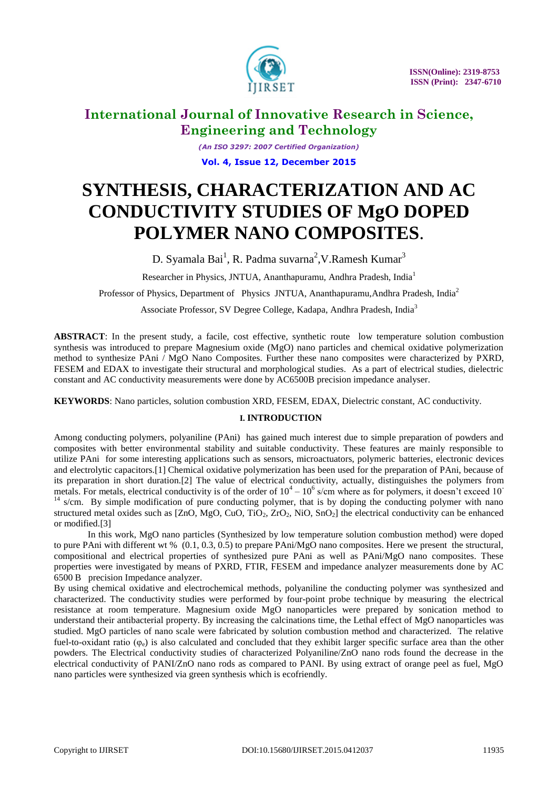

*(An ISO 3297: 2007 Certified Organization)* **Vol. 4, Issue 12, December 2015**

# **SYNTHESIS, CHARACTERIZATION AND AC CONDUCTIVITY STUDIES OF MgO DOPED POLYMER NANO COMPOSITES**.

D. Syamala Bai<sup>1</sup>, R. Padma suvarna<sup>2</sup>, V. Ramesh Kumar<sup>3</sup>

Researcher in Physics, JNTUA, Ananthapuramu, Andhra Pradesh, India<sup>1</sup>

Professor of Physics, Department of Physics JNTUA, Ananthapuramu, Andhra Pradesh, India<sup>2</sup>

Associate Professor, SV Degree College, Kadapa, Andhra Pradesh, India<sup>3</sup>

**ABSTRACT**: In the present study, a facile, cost effective, synthetic route low temperature solution combustion synthesis was introduced to prepare Magnesium oxide (MgO) nano particles and chemical oxidative polymerization method to synthesize PAni / MgO Nano Composites. Further these nano composites were characterized by PXRD, FESEM and EDAX to investigate their structural and morphological studies. As a part of electrical studies, dielectric constant and AC conductivity measurements were done by AC6500B precision impedance analyser.

**KEYWORDS**: Nano particles, solution combustion XRD, FESEM, EDAX, Dielectric constant, AC conductivity.

### **I. INTRODUCTION**

Among conducting polymers, polyaniline (PAni) has gained much interest due to simple preparation of powders and composites with better environmental stability and suitable conductivity. These features are mainly responsible to utilize PAni for some interesting applications such as sensors, microactuators, polymeric batteries, electronic devices and electrolytic capacitors.[1] Chemical oxidative polymerization has been used for the preparation of PAni, because of its preparation in short duration.[2] The value of electrical conductivity, actually, distinguishes the polymers from metals. For metals, electrical conductivity is of the order of  $10^4 - 10^6$  s/cm where as for polymers, it doesn't exceed 10  $14 \text{ s/cm}$ . By simple modification of pure conducting polymer, that is by doping the conducting polymer with nano structured metal oxides such as  $[ZnO, MgO, CuO, TiO<sub>2</sub>, ZrO<sub>2</sub>, NiO, SnO<sub>2</sub>]$  the electrical conductivity can be enhanced or modified.[3]

In this work, MgO nano particles (Synthesized by low temperature solution combustion method) were doped to pure PAni with different wt % (0.1, 0.3, 0.5) to prepare PAni/MgO nano composites. Here we present the structural, compositional and electrical properties of synthesized pure PAni as well as PAni/MgO nano composites. These properties were investigated by means of PXRD, FTIR, FESEM and impedance analyzer measurements done by AC 6500 B precision Impedance analyzer.

By using chemical oxidative and electrochemical methods, polyaniline the conducting polymer was synthesized and characterized. The conductivity studies were performed by four-point probe technique by measuring the electrical resistance at room temperature. Magnesium oxide MgO nanoparticles were prepared by sonication method to understand their antibacterial property. By increasing the calcinations time, the Lethal effect of MgO nanoparticles was studied. MgO particles of nano scale were fabricated by solution combustion method and characterized. The relative fuel-to-oxidant ratio ( $\varphi_e$ ) is also calculated and concluded that they exhibit larger specific surface area than the other powders. The Electrical conductivity studies of characterized Polyaniline/ZnO nano rods found the decrease in the electrical conductivity of PANI/ZnO nano rods as compared to PANI. By using extract of orange peel as fuel, MgO nano particles were synthesized via green synthesis which is ecofriendly.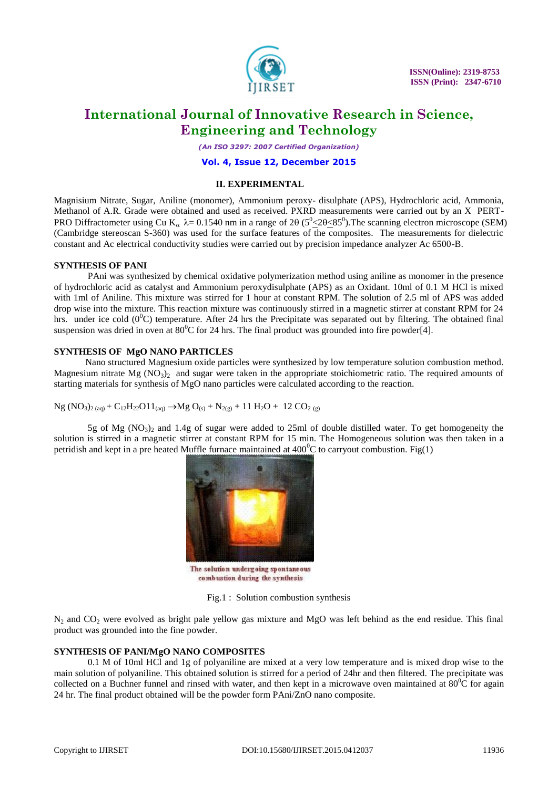

*(An ISO 3297: 2007 Certified Organization)*

### **Vol. 4, Issue 12, December 2015**

### **II. EXPERIMENTAL**

Magnisium Nitrate, Sugar, Aniline (monomer), Ammonium peroxy- disulphate (APS), Hydrochloric acid, Ammonia, Methanol of A.R. Grade were obtained and used as received. PXRD measurements were carried out by an X PERT-PRO Diffractometer using Cu K<sub>a</sub>  $\lambda$  = 0.1540 nm in a range of 2 $\theta$  (5<sup>0</sup> $\leq$ 20 $\leq$ 85<sup>0</sup>). The scanning electron microscope (SEM) (Cambridge stereoscan S-360) was used for the surface features of the composites. The measurements for dielectric constant and Ac electrical conductivity studies were carried out by precision impedance analyzer Ac 6500-B.

### **SYNTHESIS OF PANI**

PAni was synthesized by chemical oxidative polymerization method using aniline as monomer in the presence of hydrochloric acid as catalyst and Ammonium peroxydisulphate (APS) as an Oxidant. 10ml of 0.1 M HCl is mixed with 1ml of Aniline. This mixture was stirred for 1 hour at constant RPM. The solution of 2.5 ml of APS was added drop wise into the mixture. This reaction mixture was continuously stirred in a magnetic stirrer at constant RPM for 24 hrs. under ice cold  $(0^0C)$  temperature. After 24 hrs the Precipitate was separated out by filtering. The obtained final suspension was dried in oven at  $80^{\circ}$ C for 24 hrs. The final product was grounded into fire powder[4].

### **SYNTHESIS OF MgO NANO PARTICLES**

Nano structured Magnesium oxide particles were synthesized by low temperature solution combustion method. Magnesium nitrate Mg ( $NO<sub>3</sub>$ ) and sugar were taken in the appropriate stoichiometric ratio. The required amounts of starting materials for synthesis of MgO nano particles were calculated according to the reaction.

Ng (NO<sub>3</sub>)<sub>2 (aq)</sub> + C<sub>12</sub>H<sub>22</sub>O11<sub>(aq)</sub> 
$$
\rightarrow
$$
Mg O<sub>(s)</sub> + N<sub>2(g)</sub> + 11 H<sub>2</sub>O + 12 CO<sub>2 (g)</sub>

5g of Mg (NO<sub>3</sub>)<sub>2</sub> and 1.4g of sugar were added to 25ml of double distilled water. To get homogeneity the solution is stirred in a magnetic stirrer at constant RPM for 15 min. The Homogeneous solution was then taken in a petridish and kept in a pre heated Muffle furnace maintained at  $400^{\circ}$ C to carryout combustion. Fig(1)



The solution undergoing spontaneous combustion during the synthesis

Fig.1 : Solution combustion synthesis

 $N_2$  and  $CO_2$  were evolved as bright pale yellow gas mixture and MgO was left behind as the end residue. This final product was grounded into the fine powder.

### **SYNTHESIS OF PANI/MgO NANO COMPOSITES**

0.1 M of 10ml HCl and 1g of polyaniline are mixed at a very low temperature and is mixed drop wise to the main solution of polyaniline. This obtained solution is stirred for a period of 24hr and then filtered. The precipitate was collected on a Buchner funnel and rinsed with water, and then kept in a microwave oven maintained at  $80^{\circ}$ C for again 24 hr. The final product obtained will be the powder form PAni/ZnO nano composite.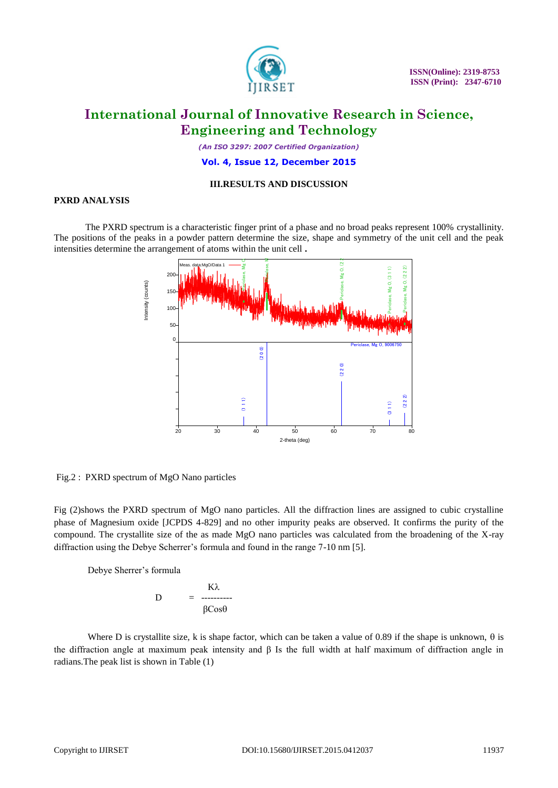

*(An ISO 3297: 2007 Certified Organization)*

### **Vol. 4, Issue 12, December 2015**

### **III.RESULTS AND DISCUSSION**

### **PXRD ANALYSIS**

The PXRD spectrum is a characteristic finger print of a phase and no broad peaks represent 100% crystallinity. The positions of the peaks in a powder pattern determine the size, shape and symmetry of the unit cell and the peak intensities determine the arrangement of atoms within the unit cell **.**



Fig.2 : PXRD spectrum of MgO Nano particles

Fig (2)shows the PXRD spectrum of MgO nano particles. All the diffraction lines are assigned to cubic crystalline phase of Magnesium oxide [JCPDS 4-829] and no other impurity peaks are observed. It confirms the purity of the compound. The crystallite size of the as made MgO nano particles was calculated from the broadening of the X-ray diffraction using the Debye Scherrer's formula and found in the range 7-10 nm [5].

Debye Sherrer's formula

$$
D = \frac{K\lambda}{\beta Cos\theta}
$$

Where D is crystallite size, k is shape factor, which can be taken a value of 0.89 if the shape is unknown,  $\theta$  is the diffraction angle at maximum peak intensity and β Is the full width at half maximum of diffraction angle in radians.The peak list is shown in Table (1)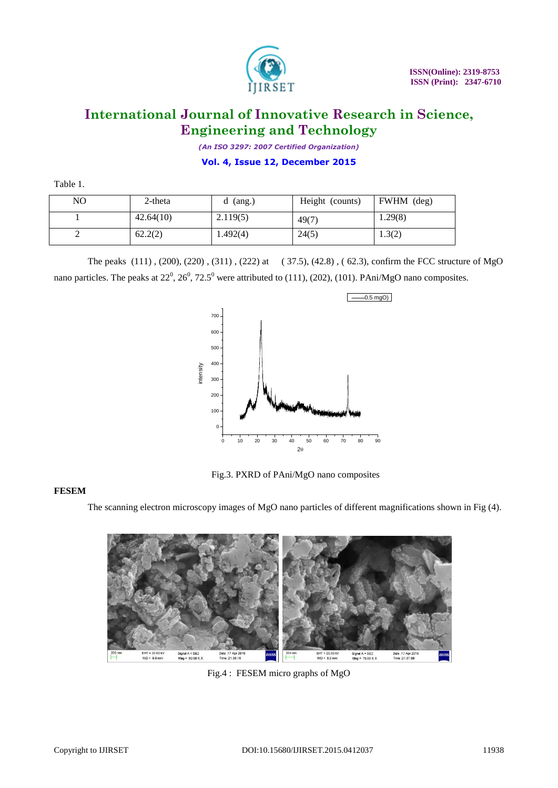

*(An ISO 3297: 2007 Certified Organization)*

**Vol. 4, Issue 12, December 2015**

| Table 1. |  |  |
|----------|--|--|
|          |  |  |

| NO | $2$ -theta | $(\text{ang.})$<br>d | Height (counts) | FWHM (deg) |
|----|------------|----------------------|-----------------|------------|
|    | 42.64(10)  | 2.119(5)             | 49(7)           | 1.29(8)    |
| ∸  | 62.2(2)    | 1.492(4)             | 24(5)           | 1.3(2)     |

The peaks (111) , (200), (220) , (311) , (222) at ( 37.5), (42.8) , ( 62.3), confirm the FCC structure of MgO nano particles. The peaks at  $22^0$ ,  $26^0$ ,  $72.5^0$  were attributed to (111), (202), (101). PAni/MgO nano composites.



Fig.3. PXRD of PAni/MgO nano composites

### **FESEM**

The scanning electron microscopy images of MgO nano particles of different magnifications shown in Fig (4).



Fig.4 : FESEM micro graphs of MgO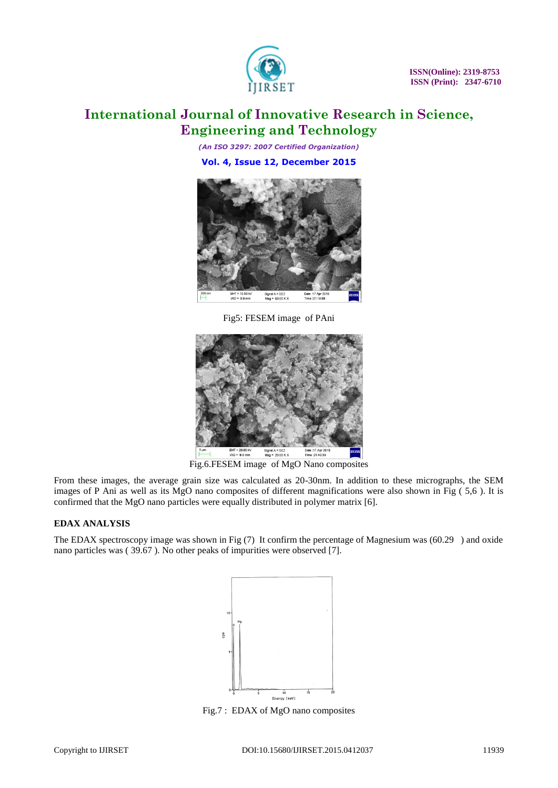

*(An ISO 3297: 2007 Certified Organization)* **Vol. 4, Issue 12, December 2015**



Fig5: FESEM image of PAni



Fig.6.FESEM image of MgO Nano composites

From these images, the average grain size was calculated as 20-30nm. In addition to these micrographs, the SEM images of P Ani as well as its MgO nano composites of different magnifications were also shown in Fig ( 5,6 ). It is confirmed that the MgO nano particles were equally distributed in polymer matrix [6].

### **EDAX ANALYSIS**

The EDAX spectroscopy image was shown in Fig (7) It confirm the percentage of Magnesium was (60.29 ) and oxide nano particles was ( 39.67 ). No other peaks of impurities were observed [7].



Fig.7 : EDAX of MgO nano composites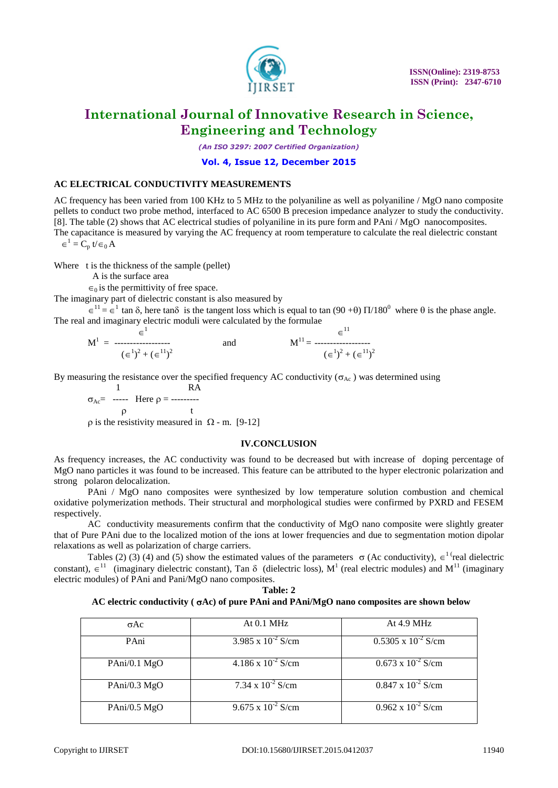

*(An ISO 3297: 2007 Certified Organization)*

### **Vol. 4, Issue 12, December 2015**

### **AC ELECTRICAL CONDUCTIVITY MEASUREMENTS**

AC frequency has been varied from 100 KHz to 5 MHz to the polyaniline as well as polyaniline / MgO nano composite pellets to conduct two probe method, interfaced to AC 6500 B precesion impedance analyzer to study the conductivity. [8]. The table (2) shows that AC electrical studies of polyaniline in its pure form and PAni / MgO nanocomposites. The capacitance is measured by varying the AC frequency at room temperature to calculate the real dielectric constant  $\in^1 = C_p$  t/ $\in_0 A$ 

Where t is the thickness of the sample (pellet)

A is the surface area

 $\epsilon_0$  is the permittivity of free space.

The imaginary part of dielectric constant is also measured by

 $\epsilon^{11} = \epsilon^1$  tan  $\delta$ , here tan $\delta$  is the tangent loss which is equal to tan (90+0)  $\Pi/180^0$  where  $\theta$  is the phase angle. The real and imaginary electric moduli were calculated by the formulae  $\overline{1}$ 

$$
M^{1} = \begin{array}{ccc} & \in^{1} & & \in^{11} \\ \text{and} & & M^{11} = \begin{array}{ccc} & & \in^{11} \\ & & \in^{12} \\ & & & \end{array} \end{array}
$$

By measuring the resistance over the specified frequency AC conductivity ( $\sigma_{AC}$ ) was determined using

 1 RA  $\sigma_{Ac}$  ----- Here  $\rho$  = --------- $\rho$  t  $\rho$  is the resistivity measured in  $\Omega$  - m. [9-12]

### **IV.CONCLUSION**

As frequency increases, the AC conductivity was found to be decreased but with increase of doping percentage of MgO nano particles it was found to be increased. This feature can be attributed to the hyper electronic polarization and strong polaron delocalization.

PAni / MgO nano composites were synthesized by low temperature solution combustion and chemical oxidative polymerization methods. Their structural and morphological studies were confirmed by PXRD and FESEM respectively.

AC conductivity measurements confirm that the conductivity of MgO nano composite were slightly greater that of Pure PAni due to the localized motion of the ions at lower frequencies and due to segmentation motion dipolar relaxations as well as polarization of charge carriers.

Tables (2) (3) (4) and (5) show the estimated values of the parameters  $\sigma$  (Ac conductivity),  $\epsilon^{1}$  real dielectric constant),  $\epsilon^{11}$  (imaginary dielectric constant), Tan  $\delta$  (dielectric loss), M<sup>1</sup> (real electric modules) and M<sup>11</sup> (imaginary electric modules) of PAni and Pani/MgO nano composites.

| `able: |  |
|--------|--|
|--------|--|

### **AC electric conductivity ( Ac) of pure PAni and PAni/MgO nano composites are shown below**

| $\sigma$ Ac    | At $0.1$ MHz                | At 4.9 MHz                   |
|----------------|-----------------------------|------------------------------|
|                |                             |                              |
|                |                             |                              |
| PAni           | 3.985 x $10^{-2}$ S/cm      | $0.5305 \times 10^{-2}$ S/cm |
|                |                             |                              |
|                |                             |                              |
| $PAni/0.1$ MgO | $4.186 \times 10^{-2}$ S/cm | $0.673 \times 10^{-2}$ S/cm  |
|                |                             |                              |
|                |                             |                              |
|                |                             |                              |
| PAni/0.3 MgO   | 7.34 x $10^{-2}$ S/cm       | $0.847 \times 10^{-2}$ S/cm  |
|                |                             |                              |
|                |                             |                              |
|                | $9.675 \times 10^{-2}$ S/cm | $0.962 \times 10^{-2}$ S/cm  |
| PAni/0.5 MgO   |                             |                              |
|                |                             |                              |
|                |                             |                              |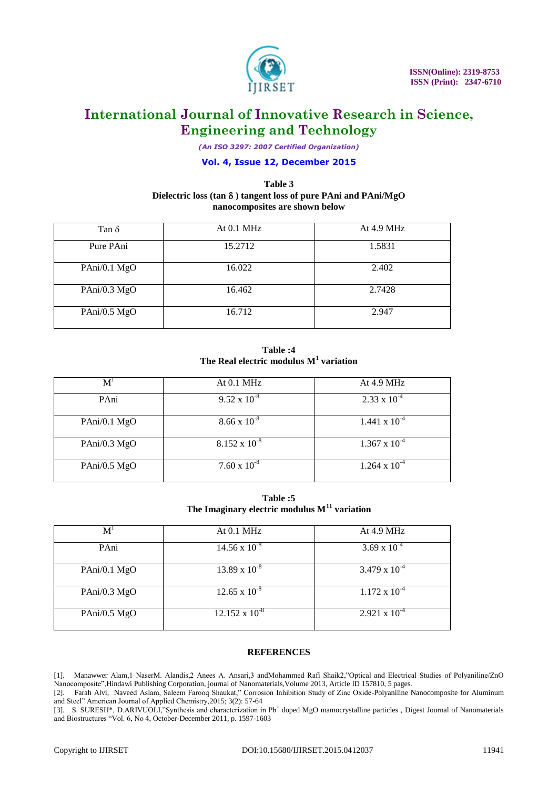

*(An ISO 3297: 2007 Certified Organization)*

### **Vol. 4, Issue 12, December 2015**

### **Table 3 Dielectric loss (tan ) tangent loss of pure PAni and PAni/MgO nanocomposites are shown below**

| Tan $\delta$   | At $0.1$ MHz | At $4.9$ MHz |
|----------------|--------------|--------------|
| Pure PAni      | 15.2712      | 1.5831       |
| PAni/0.1 MgO   | 16.022       | 2.402        |
| PAni/0.3 MgO   | 16.462       | 2.7428       |
| PAni/0.5 $MgO$ | 16.712       | 2.947        |

**Table :4 The Real electric modulus M<sup>1</sup> variation** 

| M              | At $0.1$ MHz           | At 4.9 MHz             |
|----------------|------------------------|------------------------|
| PAni           | $9.52 \times 10^{-8}$  | $2.33 \times 10^{-4}$  |
| PAni/0.1 $MgO$ | $8.66 \times 10^{-8}$  | $1.441 \times 10^{-4}$ |
| PAni/0.3 $MgO$ | $8.152 \times 10^{-8}$ | $1.367 \times 10^{-4}$ |
| PAni/0.5 $MgO$ | $7.60 \times 10^{-8}$  | $1.264 \times 10^{-4}$ |

**Table :5 The Imaginary electric modulus M<sup>11</sup> variation** 

| M <sup>1</sup> | At $0.1$ MHz            | At 4.9 MHz             |
|----------------|-------------------------|------------------------|
| PAni           | $14.56 \times 10^{-8}$  | 3.69 x $10^{-4}$       |
| PAni/0.1 $MgO$ | $13.89 \times 10^{-8}$  | $3.479 \times 10^{-4}$ |
| PAni/0.3 $MgO$ | $12.65 \times 10^{-8}$  | $1.172 \times 10^{-4}$ |
| PAni/0.5 $MgO$ | $12.152 \times 10^{-8}$ | $2.921 \times 10^{-4}$ |

### **REFERENCES**

[1].Manawwer Alam,1 NaserM. Alandis,2 Anees A. Ansari,3 andMohammed Rafi Shaik2,"Optical and Electrical Studies of Polyaniline/ZnO Nanocomposite",Hindawi Publishing Corporation, journal of Nanomaterials,Volume 2013, Article ID 157810, 5 pages.

[2]. Farah Alvi, Naveed Aslam, Saleem Farooq Shaukat," Corrosion Inhibition Study of Zinc Oxide-Polyaniline Nanocomposite for Aluminum and Steel" American Journal of Applied Chemistry,2015; 3(2): 57-64

[3]. S. SURESH<sup>\*</sup>, D.ARIVUOLI,"Synthesis and characterization in Pb<sup>+</sup> doped MgO mamocrystalline particles, Digest Journal of Nanomaterials and Biostructures "Vol. 6, No 4, October-December 2011, p. 1597-1603